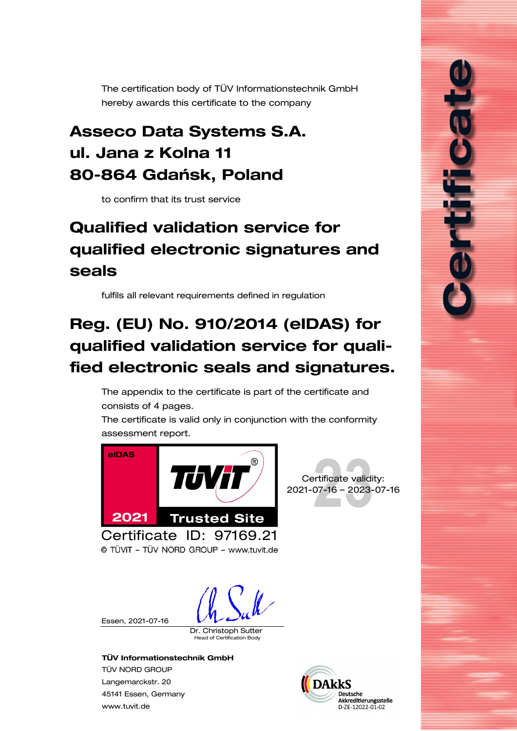<span id="page-0-0"></span>The certification body of TÜV Informationstechnik GmbH hereby awards this certificate to the company

# Asseco Data Systems S.A. ul. Jana z Kolna 11 80-864 Gdańsk, Poland

to confirm that its trust service

# <span id="page-0-1"></span>Qualified validation service for qualified electronic signatures and seals

fulfils all relevant requirements defined in regulation

# Reg. (EU) No. 910/2014 (eIDAS) for qualified validation service for qualified electronic seals and signatures.

The appendix to the certificate is part of the certificate and consists of [4](#page-1-0) pages.

The certificate is valid only in conjunction with the conformity assessment report.





i<br>Li

© TÜVIT - TÜV NORD GROUP - www.tuvit.de

Essen, [2021-07-16](#page-0-0)

Dr. Christoph Sutter d of Certification Body

TÜV Informationstechnik GmbH

TÜV NORD GROUP Langemarckstr. 20 45141 Essen, Germany [www.tuvit.de](http://www.tuvit.de/)

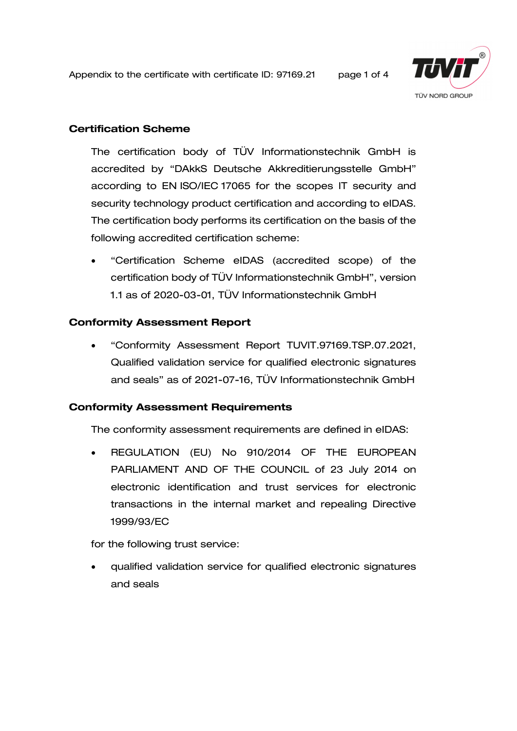<span id="page-1-0"></span>Appendix to the certificate with certificate ID: [97169.21](#page-0-0) page 1 of 4



#### Certification Scheme

The certification body of TÜV Informationstechnik GmbH is accredited by "DAkkS Deutsche Akkreditierungsstelle GmbH" according to EN ISO/IEC 17065 for the scopes IT security and security technology product certification and according to eIDAS. The certification body performs its certification on the basis of the following accredited certification scheme:

• "Certification Scheme eIDAS (accredited scope) of the certification body of TÜV Informationstechnik GmbH", version 1.1 as of 2020-03-01, TÜV Informationstechnik GmbH

#### Conformity Assessment Report

• "Conformity Assessment Report TUVIT[.97169.](#page-0-0)TSP.07.2021, [Qualified validation service for qualified electronic signatures](#page-0-1)  [and seals"](#page-0-1) as of 2021-07-16, TÜV Informationstechnik GmbH

#### Conformity Assessment Requirements

The conformity assessment requirements are defined in eIDAS:

• REGULATION (EU) No 910/2014 OF THE EUROPEAN PARLIAMENT AND OF THE COUNCIL of 23 July 2014 on electronic identification and trust services for electronic transactions in the internal market and repealing Directive 1999/93/EC

for the following trust service:

• qualified validation service for qualified electronic signatures and seals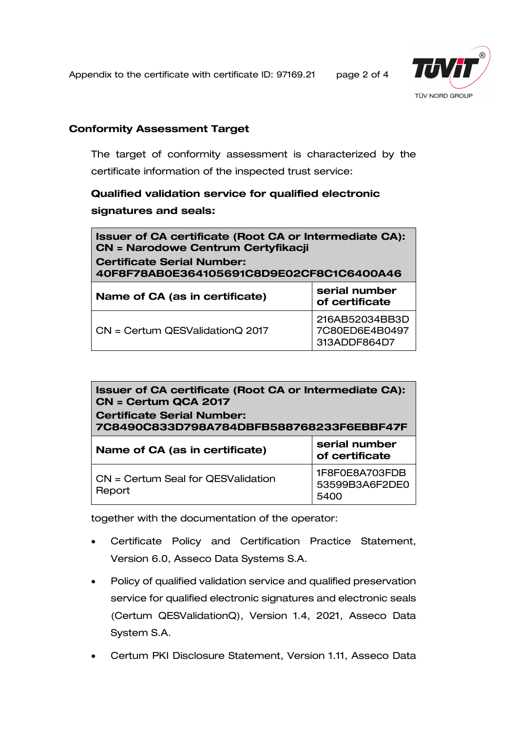Appendix to the certificate with certificate ID: [97169.21](#page-0-0) page 2 of 4

CN = Certum QESValidationQ 2017

7C80ED6E4B0497 313ADDF864D7



#### Conformity Assessment Target

The target of conformity assessment is characterized by the certificate information of the inspected trust service:

## [Qualified validation service for qualified electronic](#page-0-1)  [signatures and seals:](#page-0-1)

| Issuer of CA certificate (Root CA or Intermediate CA):<br><b>CN = Narodowe Centrum Certyfikacji</b> |                                 |  |
|-----------------------------------------------------------------------------------------------------|---------------------------------|--|
| <b>Certificate Serial Number:</b><br>40F8F78AB0E364105691C8D9E02CF8C1C6400A46                       |                                 |  |
| Name of CA (as in certificate)                                                                      | serial number<br>of certificate |  |
|                                                                                                     | 216AB52034BB3D                  |  |

| <b>Issuer of CA certificate (Root CA or Intermediate CA):</b><br>CN = Certum QCA 2017 |                                  |  |
|---------------------------------------------------------------------------------------|----------------------------------|--|
| <b>Certificate Serial Number:</b><br>7C8490C833D798A784DBFB588768233F6EBBF47F         |                                  |  |
| Name of CA (as in certificate)                                                        | serial number<br>of certificate  |  |
| $CN =$ Certum Seal for QESValidation<br>Report                                        | 1F8F0E8A703FDB<br>53599B3A6F2DE0 |  |

together with the documentation of the operator:

- Certificate Policy and Certification Practice Statement, Version 6.0, Asseco Data Systems S.A.
- Policy of qualified validation service and qualified preservation service for qualified electronic signatures and electronic seals (Certum QESValidationQ), Version 1.4, 2021, Asseco Data System S.A.
- Certum PKI Disclosure Statement, Version 1.11, Asseco Data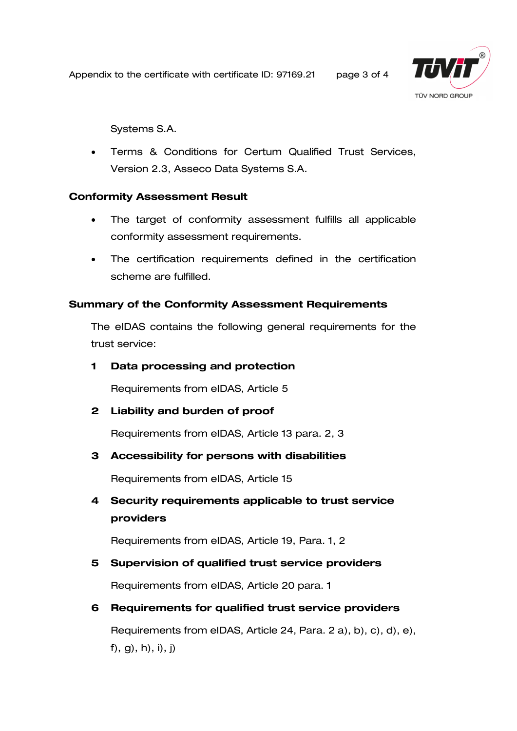Appendix to the certificate with certificate ID: [97169.21](#page-0-0) page 3 of 4



Systems S.A.

• Terms & Conditions for Certum Qualified Trust Services, Version 2.3, Asseco Data Systems S.A.

### Conformity Assessment Result

- The target of conformity assessment fulfills all applicable conformity assessment requirements.
- The certification requirements defined in the certification scheme are fulfilled.

#### Summary of the Conformity Assessment Requirements

The eIDAS contains the following general requirements for the trust service:

#### 1 Data processing and protection

Requirements from eIDAS, Article 5

2 Liability and burden of proof

Requirements from eIDAS, Article 13 para. 2, 3

### 3 Accessibility for persons with disabilities

Requirements from eIDAS, Article 15

4 Security requirements applicable to trust service providers

Requirements from eIDAS, Article 19, Para. 1, 2

#### 5 Supervision of qualified trust service providers

Requirements from eIDAS, Article 20 para. 1

### 6 Requirements for qualified trust service providers

Requirements from eIDAS, Article 24, Para. 2 a), b), c), d), e), f), g), h), i), j)